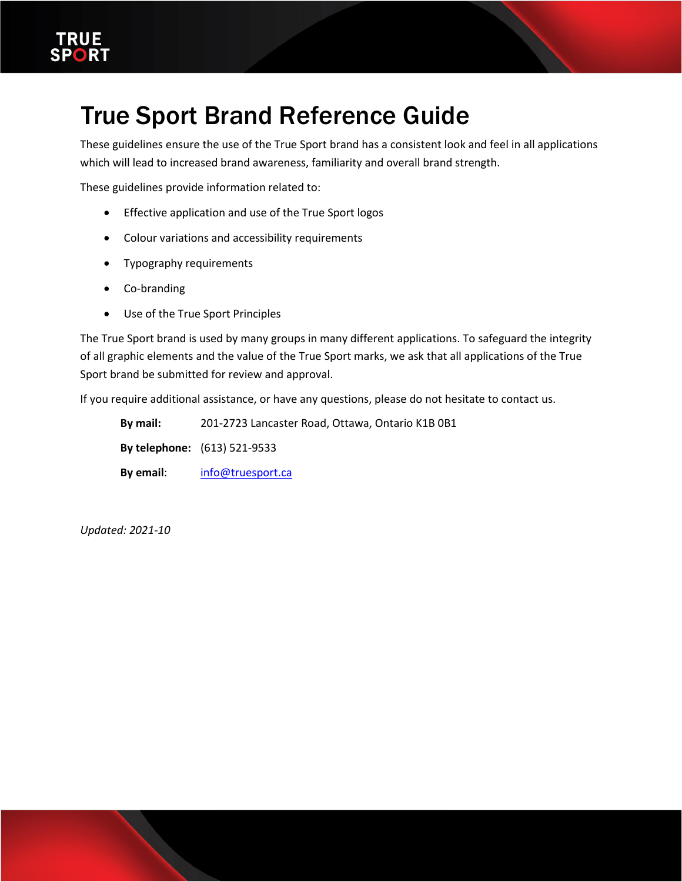

# True Sport Brand Reference Guide

These guidelines ensure the use of the True Sport brand has a consistent look and feel in all applications which will lead to increased brand awareness, familiarity and overall brand strength.

These guidelines provide information related to:

- Effective application and use of the True Sport logos
- Colour variations and accessibility requirements
- Typography requirements
- Co-branding
- Use of the True Sport Principles

The True Sport brand is used by many groups in many different applications. To safeguard the integrity of all graphic elements and the value of the True Sport marks, we ask that all applications of the True Sport brand be submitted for review and approval.

If you require additional assistance, or have any questions, please do not hesitate to contact us.

**By mail:** 201-2723 Lancaster Road, Ottawa, Ontario K1B 0B1 **By telephone:** (613) 521-9533 **By email**: [info@truesport.ca](mailto:info@truesport.ca)

*Updated: 2021-10*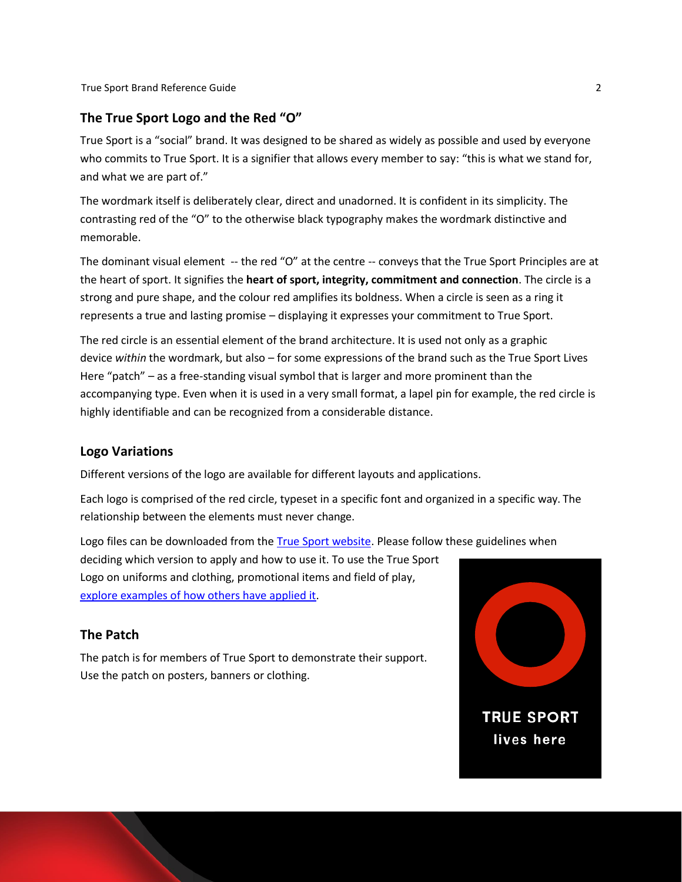#### **The True Sport Logo and the Red "O"**

True Sport is a "social" brand. It was designed to be shared as widely as possible and used by everyone who commits to True Sport. It is a signifier that allows every member to say: "this is what we stand for, and what we are part of."

The wordmark itself is deliberately clear, direct and unadorned. It is confident in its simplicity. The contrasting red of the "O" to the otherwise black typography makes the wordmark distinctive and memorable.

The dominant visual element -- the red "O" at the centre -- conveys that the True Sport Principles are at the heart of sport. It signifies the **heart of sport, integrity, commitment and connection**. The circle is a strong and pure shape, and the colour red amplifies its boldness. When a circle is seen as a ring it represents a true and lasting promise – displaying it expresses your commitment to True Sport.

The red circle is an essential element of the brand architecture. It is used not only as a graphic device *within* the wordmark, but also – for some expressions of the brand such as the True Sport Lives Here "patch" – as a free-standing visual symbol that is larger and more prominent than the accompanying type. Even when it is used in a very small format, a lapel pin for example, the red circle is highly identifiable and can be recognized from a considerable distance.

#### **Logo Variations**

Different versions of the logo are available for different layouts and applications.

Each logo is comprised of the red circle, typeset in a specific font and organized in a specific way. The relationship between the elements must never change.

Logo files can be downloaded from th[e True Sport website.](https://truesportpur.ca/true-sport-logo) Please follow these guidelines when deciding which version to apply and how to use it. To use the True Sport Logo on uniforms and clothing, promotional items and field of play, explore examples of [how others have applied it.](https://truesportpur.ca/display-true-sport-0)

#### **The Patch**

The patch is for members of True Sport to demonstrate their support. Use the patch on posters, banners or clothing.

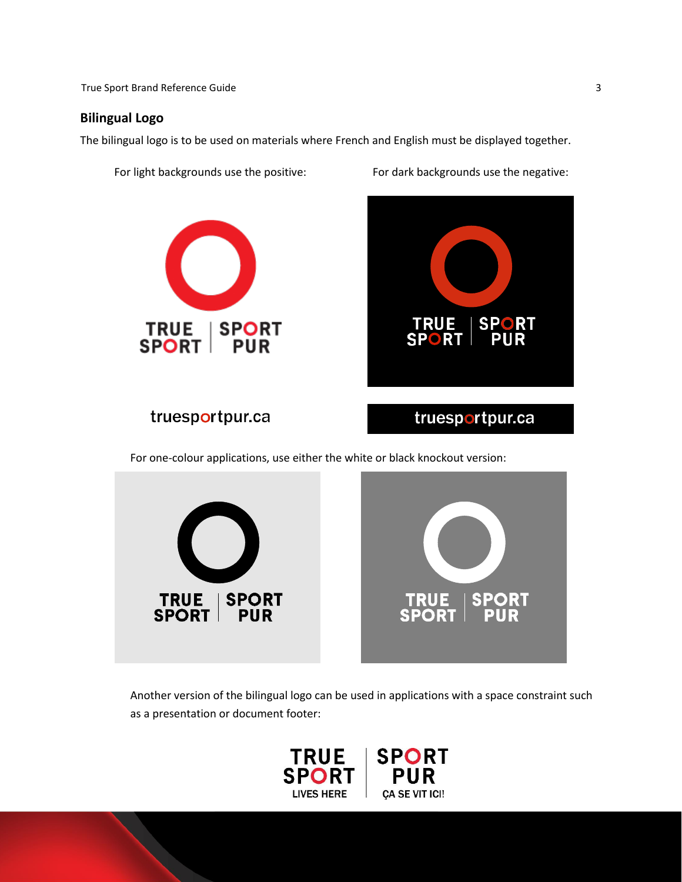**True Sport Brand Reference Guide 3** 3

#### **Bilingual Logo**

The bilingual logo is to be used on materials where French and English must be displayed together.

For light backgrounds use the positive: For dark backgrounds use the negative:



**TRUE SPORT SPORT** PUR

truesportpur.ca

truesportpur.ca

For one-colour applications, use either the white or black knockout version:



Another version of the bilingual logo can be used in applications with a space constraint such as a presentation or document footer:

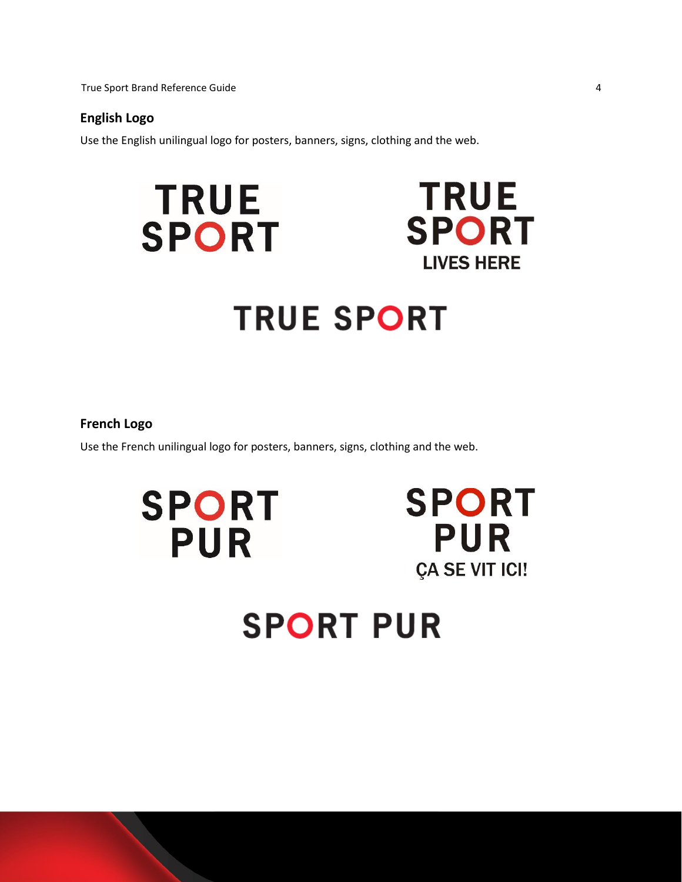True Sport Brand Reference Guide 4

#### **English Logo**

Use the English unilingual logo for posters, banners, signs, clothing and the web.



#### **French Logo**

Use the French unilingual logo for posters, banners, signs, clothing and the web.

**SPORT PUR** 



# **SPORT PUR**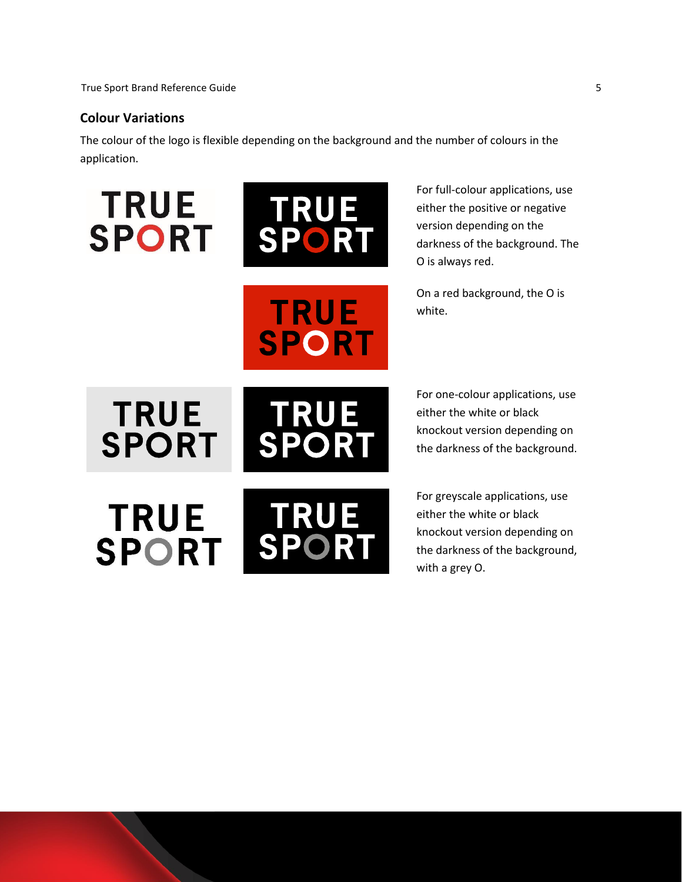#### **Colour Variations**

The colour of the logo is flexible depending on the background and the number of colours in the application.





**TRUE** 

**SPORT** 

For full-colour applications, use either the positive or negative version depending on the darkness of the background. The O is always red.

On a red background, the O is white.

**TRUE SPORT** 



For one-colour applications, use either the white or black knockout version depending on the darkness of the background.

**TRUE RUE** T **SPORT SPORT** 

For greyscale applications, use either the white or black knockout version depending on the darkness of the background, with a grey O.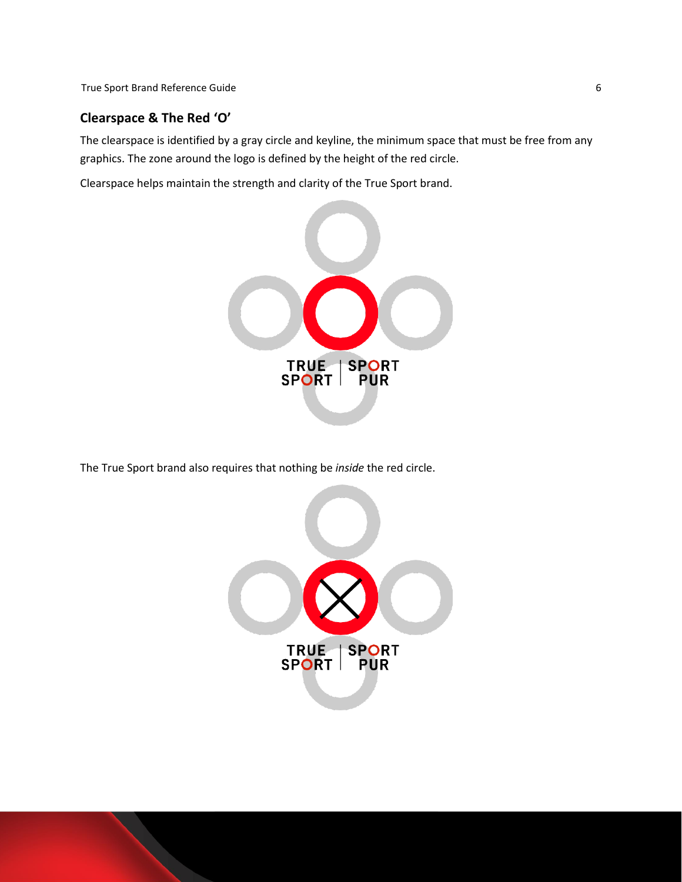True Sport Brand Reference Guide 6 and 5 and 5 and 6 and 6 and 6 and 6 and 6 and 6 and 6 and 6 and 6 and 6 and 6 and 6 and 6 and 6 and 6 and 6 and 6 and 6 and 6 and 6 and 6 and 6 and 6 and 6 and 6 and 6 and 6 and 6 and 6 a

# **Clearspace & The Red 'O'**

The clearspace is identified by a gray circle and keyline, the minimum space that must be free from any graphics. The zone around the logo is defined by the height of the red circle.

Clearspace helps maintain the strength and clarity of the True Sport brand.



The True Sport brand also requires that nothing be *inside* the red circle.

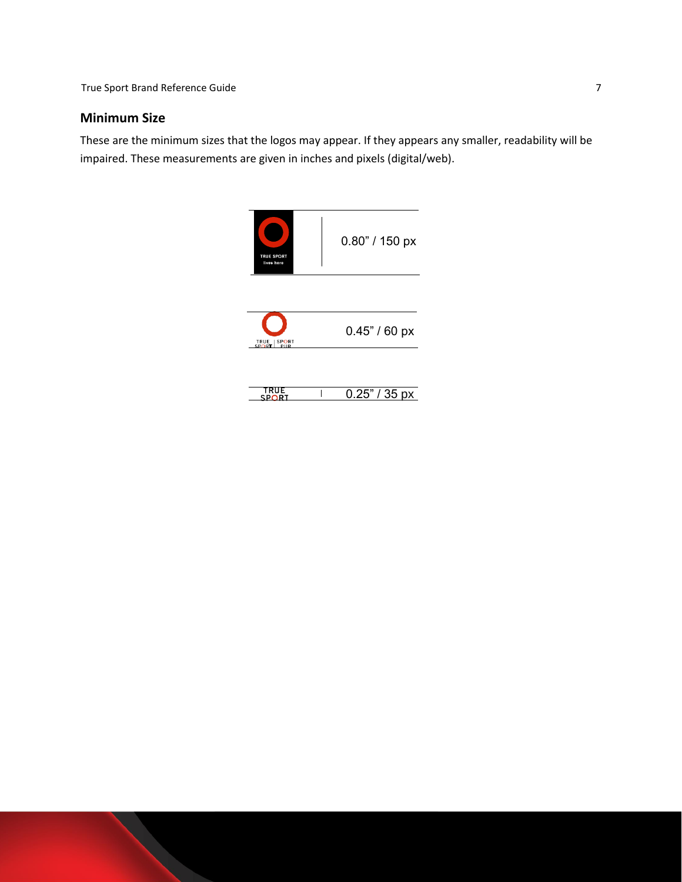# **Minimum Size**

These are the minimum sizes that the logos may appear. If they appears any smaller, readability will be impaired. These measurements are given in inches and pixels (digital/web).

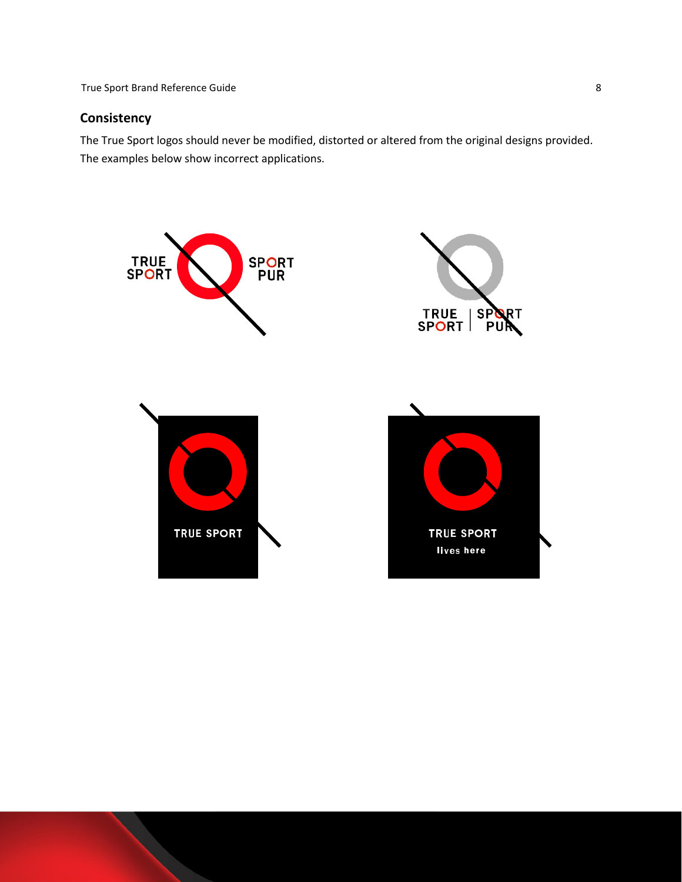True Sport Brand Reference Guide 8 8

# **Consistency**

The True Sport logos should never be modified, distorted or altered from the original designs provided. The examples below show incorrect applications.

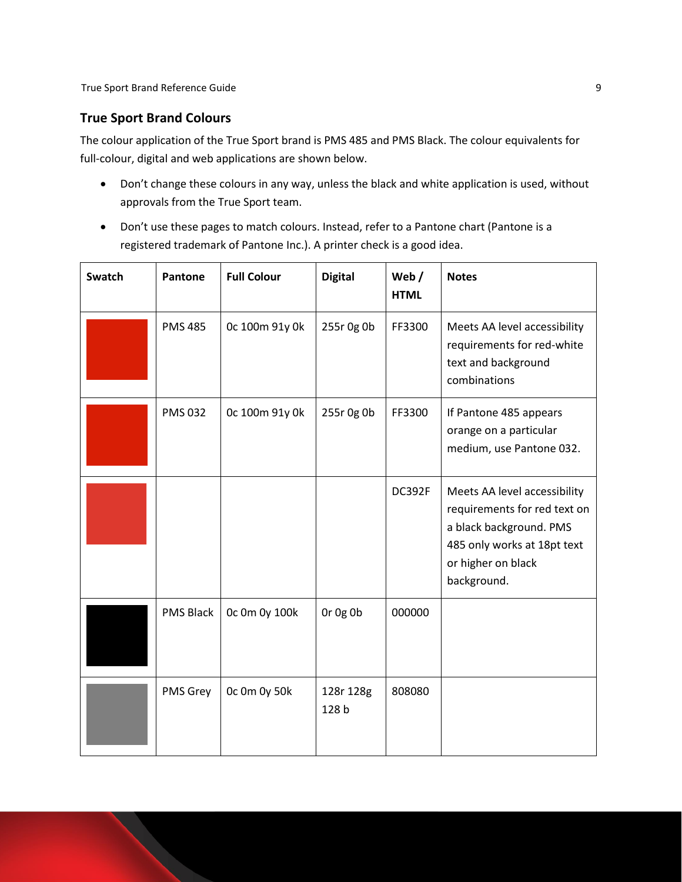# **True Sport Brand Colours**

The colour application of the True Sport brand is PMS 485 and PMS Black. The colour equivalents for full-colour, digital and web applications are shown below.

- Don't change these colours in any way, unless the black and white application is used, without approvals from the True Sport team.
- Don't use these pages to match colours. Instead, refer to a Pantone chart (Pantone is a registered trademark of Pantone Inc.). A printer check is a good idea.

| <b>Swatch</b> | Pantone          | <b>Full Colour</b> | <b>Digital</b>     | Web $/$<br><b>HTML</b> | <b>Notes</b>                                                                                                                                                |
|---------------|------------------|--------------------|--------------------|------------------------|-------------------------------------------------------------------------------------------------------------------------------------------------------------|
|               | <b>PMS 485</b>   | 0c 100m 91y 0k     | 255r 0g 0b         | FF3300                 | Meets AA level accessibility<br>requirements for red-white<br>text and background<br>combinations                                                           |
|               | <b>PMS 032</b>   | 0c 100m 91y 0k     | 255r 0g 0b         | FF3300                 | If Pantone 485 appears<br>orange on a particular<br>medium, use Pantone 032.                                                                                |
|               |                  |                    |                    | DC392F                 | Meets AA level accessibility<br>requirements for red text on<br>a black background. PMS<br>485 only works at 18pt text<br>or higher on black<br>background. |
|               | <b>PMS Black</b> | 0c 0m 0y 100k      | Or Og Ob           | 000000                 |                                                                                                                                                             |
|               | PMS Grey         | Oc Om Oy 50k       | 128r 128g<br>128 b | 808080                 |                                                                                                                                                             |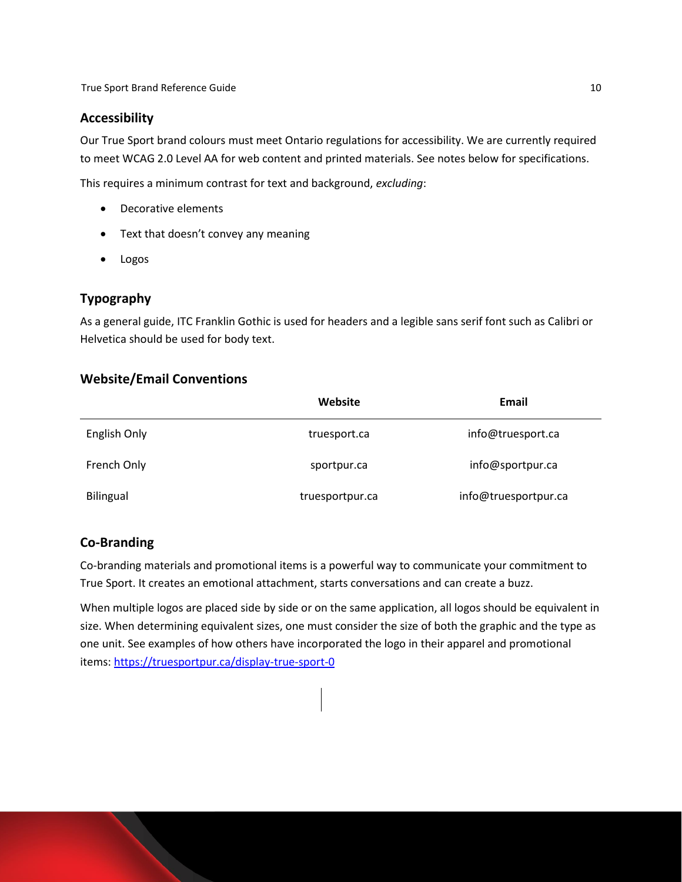#### **Accessibility**

Our True Sport brand colours must meet Ontario regulations for accessibility. We are currently required to meet WCAG 2.0 Level AA for web content and printed materials. See notes below for specifications.

This requires a minimum contrast for text and background, *excluding*:

- Decorative elements
- Text that doesn't convey any meaning
- Logos

# **Typography**

As a general guide, ITC Franklin Gothic is used for headers and a legible sans serif font such as Calibri or Helvetica should be used for body text.

#### **Website/Email Conventions**

|              | Website         | Email                |
|--------------|-----------------|----------------------|
| English Only | truesport.ca    | info@truesport.ca    |
| French Only  | sportpur.ca     | info@sportpur.ca     |
| Bilingual    | truesportpur.ca | info@truesportpur.ca |

#### **Co-Branding**

Co-branding materials and promotional items is a powerful way to communicate your commitment to True Sport. It creates an emotional attachment, starts conversations and can create a buzz.

When multiple logos are placed side by side or on the same application, all logos should be equivalent in size. When determining equivalent sizes, one must consider the size of both the graphic and the type as one unit. See examples of how others have incorporated the logo in their apparel and promotional items:<https://truesportpur.ca/display-true-sport-0>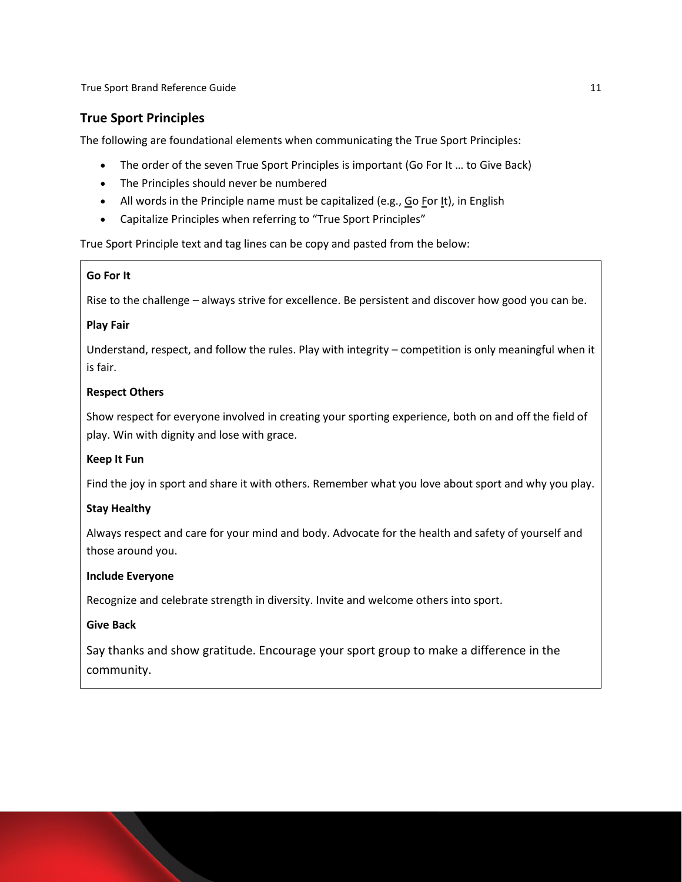True Sport Brand Reference Guide 11 and 200 and 200 and 200 and 200 and 200 and 200 and 200 and 200 and 200 and 200 and 200 and 200 and 200 and 200 and 200 and 200 and 200 and 200 and 200 and 200 and 200 and 200 and 200 an

# **True Sport Principles**

The following are foundational elements when communicating the True Sport Principles:

- The order of the seven True Sport Principles is important (Go For It ... to Give Back)
- The Principles should never be numbered
- All words in the Principle name must be capitalized (e.g., Go For It), in English
- Capitalize Principles when referring to "True Sport Principles"

True Sport Principle text and tag lines can be copy and pasted from the below:

#### **Go For It**

Rise to the challenge – always strive for excellence. Be persistent and discover how good you can be.

#### **Play Fair**

Understand, respect, and follow the rules. Play with integrity – competition is only meaningful when it is fair.

#### **Respect Others**

Show respect for everyone involved in creating your sporting experience, both on and off the field of play. Win with dignity and lose with grace.

#### **Keep It Fun**

Find the joy in sport and share it with others. Remember what you love about sport and why you play.

#### **Stay Healthy**

Always respect and care for your mind and body. Advocate for the health and safety of yourself and those around you.

#### **Include Everyone**

Recognize and celebrate strength in diversity. Invite and welcome others into sport.

#### **Give Back**

Say thanks and show gratitude. Encourage your sport group to make a difference in the community.